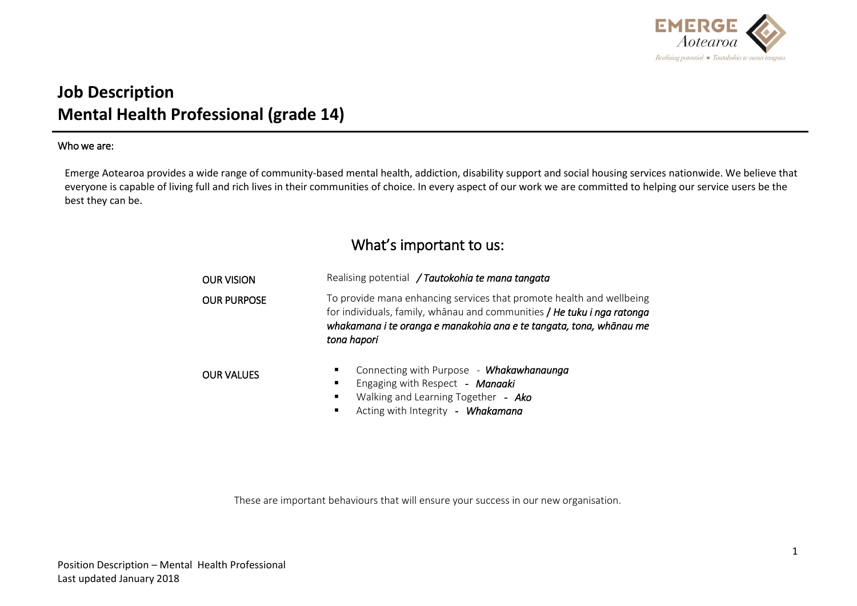

# **Job Description Mental Health Professional (grade 14)**

#### Who we are:

Emerge Aotearoa provides a wide range of community-based mental health, addiction, disability support and social housing services nationwide. We believe that everyone is capable of living full and rich lives in their communities of choice. In every aspect of our work we are committed to helping our service users be the best they can be.

# What's important to us:

| <b>OUR VISION</b>  | Realising potential / Tautokohia te mana tangata                                                                                                                                                                                      |  |
|--------------------|---------------------------------------------------------------------------------------------------------------------------------------------------------------------------------------------------------------------------------------|--|
| <b>OUR PURPOSE</b> | To provide mana enhancing services that promote health and wellbeing<br>for individuals, family, whanau and communities / He tuku i nga ratonga<br>whakamana i te oranga e manakohia ana e te tangata, tona, whānau me<br>tona hapori |  |
| <b>OUR VALUES</b>  | Connecting with Purpose - Whakawhanaunga<br>$\blacksquare$<br>Engaging with Respect - Manaaki<br>$\blacksquare$<br>Walking and Learning Together - Ako<br>٠<br>Acting with Integrity - Whakamana<br>$\blacksquare$                    |  |

These are important behaviours that will ensure your success in our new organisation.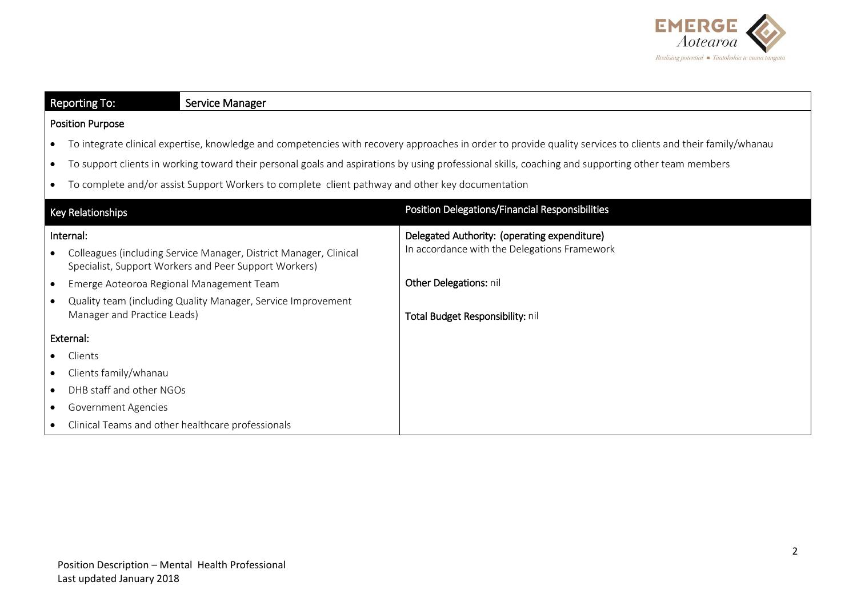

# Reporting To: Service Manager Position Purpose To integrate clinical expertise, knowledge and competencies with recovery approaches in order to provide quality services to clients and their family/whanau To support clients in working toward their personal goals and aspirations by using professional skills, coaching and supporting other team members To complete and/or assist Support Workers to complete client pathway and other key documentation Key Relationships Position Delegations/Financial Responsibilities Internal: Colleagues (including Service Manager, District Manager, Clinical Specialist, Support Workers and Peer Support Workers) Emerge Aoteoroa Regional Management Team Quality team (including Quality Manager, Service Improvement Manager and Practice Leads) External: • Clients Clients family/whanau DHB staff and other NGOs Government Agencies Clinical Teams and other healthcare professionals Delegated Authority: (operating expenditure) In accordance with the Delegations Framework Other Delegations: nil Total Budget Responsibility: nil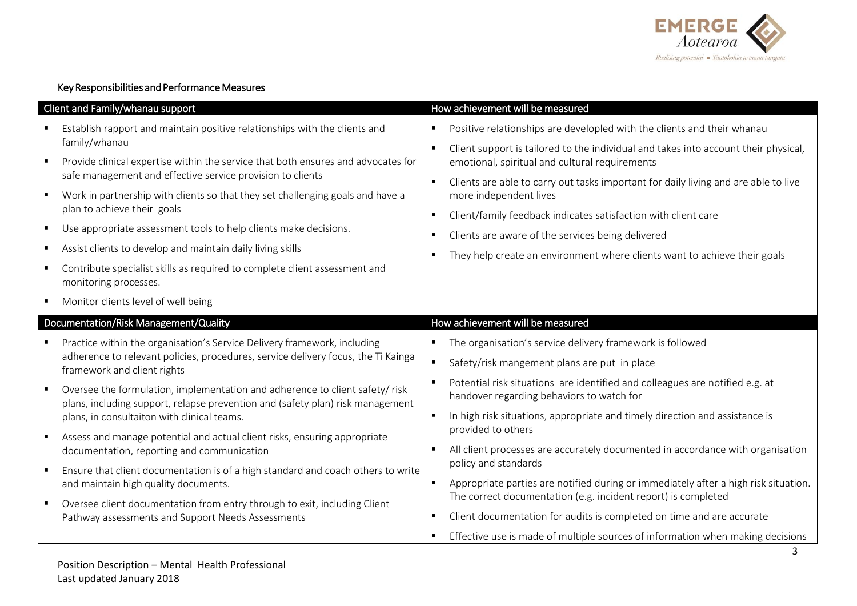

# Key Responsibilities and Performance Measures

|                                       | Client and Family/whanau support<br>How achievement will be measured                                                                            |                                                                                                                                                      |  |  |  |
|---------------------------------------|-------------------------------------------------------------------------------------------------------------------------------------------------|------------------------------------------------------------------------------------------------------------------------------------------------------|--|--|--|
|                                       | Establish rapport and maintain positive relationships with the clients and                                                                      | Positive relationships are developled with the clients and their whanau                                                                              |  |  |  |
|                                       | family/whanau                                                                                                                                   | Client support is tailored to the individual and takes into account their physical,<br>$\blacksquare$                                                |  |  |  |
| ٠                                     | Provide clinical expertise within the service that both ensures and advocates for<br>safe management and effective service provision to clients | emotional, spiritual and cultural requirements                                                                                                       |  |  |  |
| $\blacksquare$                        | Work in partnership with clients so that they set challenging goals and have a                                                                  | Clients are able to carry out tasks important for daily living and are able to live<br>more independent lives                                        |  |  |  |
|                                       | plan to achieve their goals                                                                                                                     | Client/family feedback indicates satisfaction with client care                                                                                       |  |  |  |
| ٠                                     | Use appropriate assessment tools to help clients make decisions.                                                                                | Clients are aware of the services being delivered                                                                                                    |  |  |  |
| $\blacksquare$                        | Assist clients to develop and maintain daily living skills                                                                                      | They help create an environment where clients want to achieve their goals                                                                            |  |  |  |
| ٠                                     | Contribute specialist skills as required to complete client assessment and<br>monitoring processes.                                             |                                                                                                                                                      |  |  |  |
| ٠                                     | Monitor clients level of well being                                                                                                             |                                                                                                                                                      |  |  |  |
| Documentation/Risk Management/Quality |                                                                                                                                                 |                                                                                                                                                      |  |  |  |
|                                       |                                                                                                                                                 | How achievement will be measured                                                                                                                     |  |  |  |
|                                       | Practice within the organisation's Service Delivery framework, including                                                                        | The organisation's service delivery framework is followed<br>$\blacksquare$                                                                          |  |  |  |
|                                       | adherence to relevant policies, procedures, service delivery focus, the Ti Kainga                                                               | Safety/risk mangement plans are put in place<br>٠                                                                                                    |  |  |  |
|                                       | framework and client rights<br>Oversee the formulation, implementation and adherence to client safety/risk                                      | Potential risk situations are identified and colleagues are notified e.g. at<br>handover regarding behaviors to watch for                            |  |  |  |
|                                       | plans, including support, relapse prevention and (safety plan) risk management<br>plans, in consultaiton with clinical teams.                   | In high risk situations, appropriate and timely direction and assistance is                                                                          |  |  |  |
|                                       | Assess and manage potential and actual client risks, ensuring appropriate                                                                       | provided to others                                                                                                                                   |  |  |  |
|                                       | documentation, reporting and communication                                                                                                      | All client processes are accurately documented in accordance with organisation                                                                       |  |  |  |
| $\blacksquare$                        | Ensure that client documentation is of a high standard and coach others to write                                                                | policy and standards                                                                                                                                 |  |  |  |
|                                       | and maintain high quality documents.                                                                                                            | Appropriate parties are notified during or immediately after a high risk situation.<br>The correct documentation (e.g. incident report) is completed |  |  |  |
|                                       | Oversee client documentation from entry through to exit, including Client<br>Pathway assessments and Support Needs Assessments                  | Client documentation for audits is completed on time and are accurate                                                                                |  |  |  |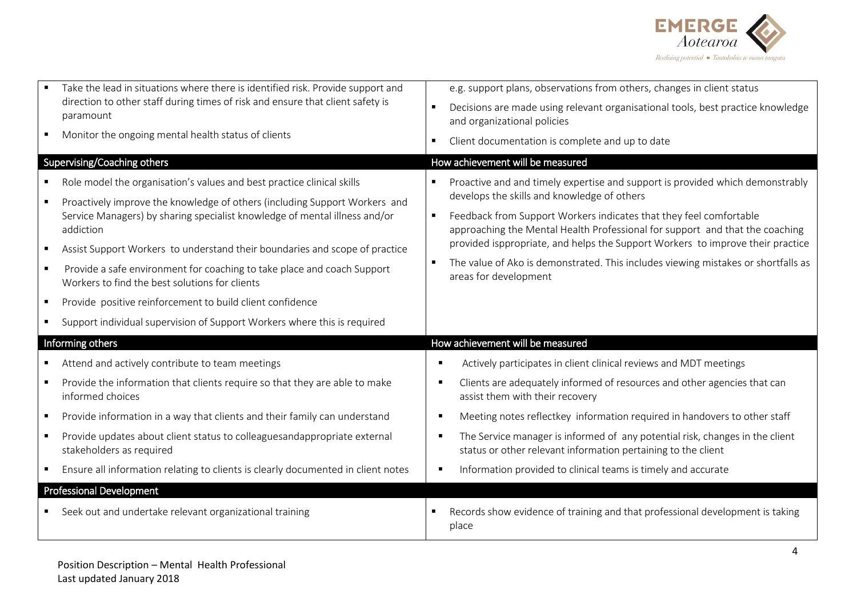

| Take the lead in situations where there is identified risk. Provide support and<br>direction to other staff during times of risk and ensure that client safety is<br>paramount<br>Monitor the ongoing mental health status of clients<br>Supervising/Coaching others<br>Role model the organisation's values and best practice clinical skills<br>$\blacksquare$<br>Proactively improve the knowledge of others (including Support Workers and<br>Service Managers) by sharing specialist knowledge of mental illness and/or<br>addiction<br>Assist Support Workers to understand their boundaries and scope of practice<br>$\blacksquare$ | e.g. support plans, observations from others, changes in client status<br>Decisions are made using relevant organisational tools, best practice knowledge<br>$\blacksquare$<br>and organizational policies<br>Client documentation is complete and up to date<br>п<br>How achievement will be measured<br>Proactive and and timely expertise and support is provided which demonstrably<br>develops the skills and knowledge of others<br>Feedback from Support Workers indicates that they feel comfortable<br>$\blacksquare$<br>approaching the Mental Health Professional for support and that the coaching<br>provided isppropriate, and helps the Support Workers to improve their practice |
|--------------------------------------------------------------------------------------------------------------------------------------------------------------------------------------------------------------------------------------------------------------------------------------------------------------------------------------------------------------------------------------------------------------------------------------------------------------------------------------------------------------------------------------------------------------------------------------------------------------------------------------------|--------------------------------------------------------------------------------------------------------------------------------------------------------------------------------------------------------------------------------------------------------------------------------------------------------------------------------------------------------------------------------------------------------------------------------------------------------------------------------------------------------------------------------------------------------------------------------------------------------------------------------------------------------------------------------------------------|
| Provide a safe environment for coaching to take place and coach Support<br>$\blacksquare$<br>Workers to find the best solutions for clients<br>Provide positive reinforcement to build client confidence<br>Support individual supervision of Support Workers where this is required                                                                                                                                                                                                                                                                                                                                                       | The value of Ako is demonstrated. This includes viewing mistakes or shortfalls as<br>$\blacksquare$<br>areas for development                                                                                                                                                                                                                                                                                                                                                                                                                                                                                                                                                                     |
| Informing others                                                                                                                                                                                                                                                                                                                                                                                                                                                                                                                                                                                                                           | How achievement will be measured                                                                                                                                                                                                                                                                                                                                                                                                                                                                                                                                                                                                                                                                 |
| Attend and actively contribute to team meetings<br>Provide the information that clients require so that they are able to make<br>informed choices<br>Provide information in a way that clients and their family can understand                                                                                                                                                                                                                                                                                                                                                                                                             | Actively participates in client clinical reviews and MDT meetings<br>Clients are adequately informed of resources and other agencies that can<br>assist them with their recovery<br>Meeting notes reflectkey information required in handovers to other staff                                                                                                                                                                                                                                                                                                                                                                                                                                    |
| Provide updates about client status to colleaguesandappropriate external<br>$\blacksquare$<br>stakeholders as required<br>Ensure all information relating to clients is clearly documented in client notes                                                                                                                                                                                                                                                                                                                                                                                                                                 | The Service manager is informed of any potential risk, changes in the client<br>status or other relevant information pertaining to the client<br>Information provided to clinical teams is timely and accurate                                                                                                                                                                                                                                                                                                                                                                                                                                                                                   |
| <b>Professional Development</b>                                                                                                                                                                                                                                                                                                                                                                                                                                                                                                                                                                                                            |                                                                                                                                                                                                                                                                                                                                                                                                                                                                                                                                                                                                                                                                                                  |
| Seek out and undertake relevant organizational training                                                                                                                                                                                                                                                                                                                                                                                                                                                                                                                                                                                    | Records show evidence of training and that professional development is taking<br>٠<br>place                                                                                                                                                                                                                                                                                                                                                                                                                                                                                                                                                                                                      |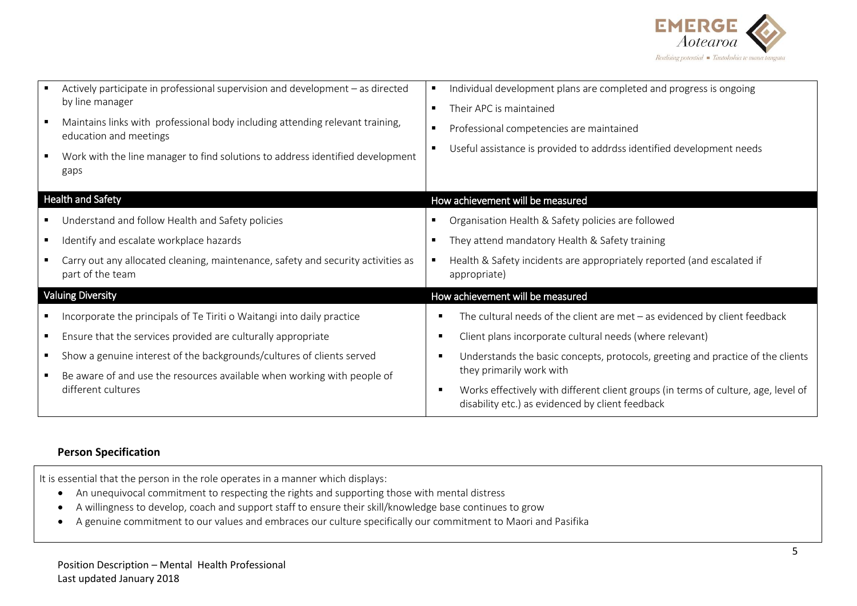

| Actively participate in professional supervision and development - as directed<br>by line manager<br>Maintains links with professional body including attending relevant training,<br>education and meetings<br>Work with the line manager to find solutions to address identified development<br>$\blacksquare$<br>gaps | Individual development plans are completed and progress is ongoing<br>Their APC is maintained<br>Professional competencies are maintained<br>Useful assistance is provided to addrdss identified development needs |
|--------------------------------------------------------------------------------------------------------------------------------------------------------------------------------------------------------------------------------------------------------------------------------------------------------------------------|--------------------------------------------------------------------------------------------------------------------------------------------------------------------------------------------------------------------|
| <b>Health and Safety</b>                                                                                                                                                                                                                                                                                                 | How achievement will be measured                                                                                                                                                                                   |
| Understand and follow Health and Safety policies                                                                                                                                                                                                                                                                         | Organisation Health & Safety policies are followed                                                                                                                                                                 |
| Identify and escalate workplace hazards                                                                                                                                                                                                                                                                                  | They attend mandatory Health & Safety training                                                                                                                                                                     |
| Carry out any allocated cleaning, maintenance, safety and security activities as<br>part of the team                                                                                                                                                                                                                     | Health & Safety incidents are appropriately reported (and escalated if<br>appropriate)                                                                                                                             |
| <b>Valuing Diversity</b>                                                                                                                                                                                                                                                                                                 | How achievement will be measured                                                                                                                                                                                   |
| Incorporate the principals of Te Tiriti o Waitangi into daily practice                                                                                                                                                                                                                                                   | The cultural needs of the client are met $-$ as evidenced by client feedback                                                                                                                                       |
| Ensure that the services provided are culturally appropriate                                                                                                                                                                                                                                                             | Client plans incorporate cultural needs (where relevant)<br>л                                                                                                                                                      |
| Show a genuine interest of the backgrounds/cultures of clients served                                                                                                                                                                                                                                                    | Understands the basic concepts, protocols, greeting and practice of the clients<br>п                                                                                                                               |
| Be aware of and use the resources available when working with people of                                                                                                                                                                                                                                                  | they primarily work with                                                                                                                                                                                           |
| different cultures                                                                                                                                                                                                                                                                                                       | Works effectively with different client groups (in terms of culture, age, level of<br>л<br>disability etc.) as evidenced by client feedback                                                                        |

### **Person Specification**

It is essential that the person in the role operates in a manner which displays:

- An unequivocal commitment to respecting the rights and supporting those with mental distress
- A willingness to develop, coach and support staff to ensure their skill/knowledge base continues to grow
- A genuine commitment to our values and embraces our culture specifically our commitment to Maori and Pasifika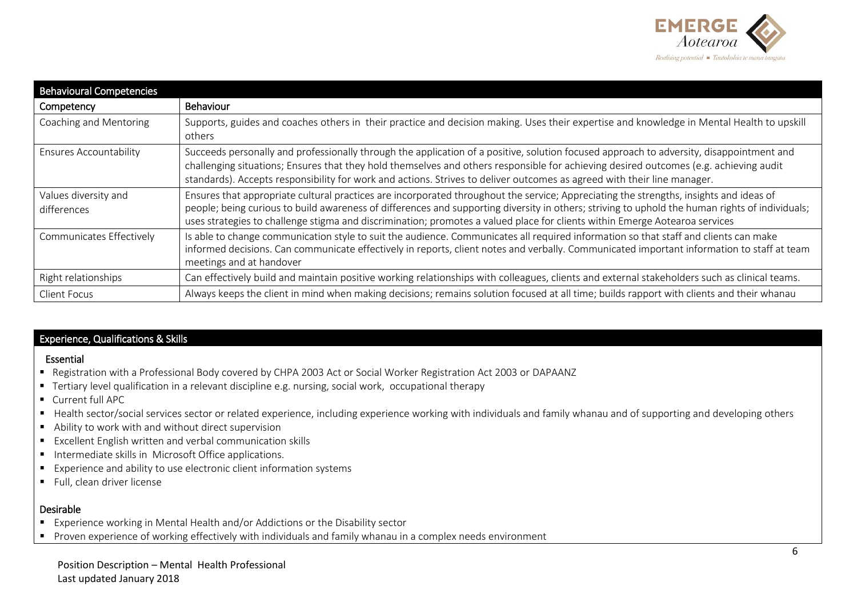

| <b>Behavioural Competencies</b>     |                                                                                                                                                                                                                                                                                                                                                                                                                          |  |
|-------------------------------------|--------------------------------------------------------------------------------------------------------------------------------------------------------------------------------------------------------------------------------------------------------------------------------------------------------------------------------------------------------------------------------------------------------------------------|--|
| Competency                          | Behaviour                                                                                                                                                                                                                                                                                                                                                                                                                |  |
| Coaching and Mentoring              | Supports, guides and coaches others in their practice and decision making. Uses their expertise and knowledge in Mental Health to upskill<br>others                                                                                                                                                                                                                                                                      |  |
| <b>Ensures Accountability</b>       | Succeeds personally and professionally through the application of a positive, solution focused approach to adversity, disappointment and<br>challenging situations; Ensures that they hold themselves and others responsible for achieving desired outcomes (e.g. achieving audit<br>standards). Accepts responsibility for work and actions. Strives to deliver outcomes as agreed with their line manager.             |  |
| Values diversity and<br>differences | Ensures that appropriate cultural practices are incorporated throughout the service; Appreciating the strengths, insights and ideas of<br>people; being curious to build awareness of differences and supporting diversity in others; striving to uphold the human rights of individuals;<br>uses strategies to challenge stigma and discrimination; promotes a valued place for clients within Emerge Aotearoa services |  |
| <b>Communicates Effectively</b>     | Is able to change communication style to suit the audience. Communicates all required information so that staff and clients can make<br>informed decisions. Can communicate effectively in reports, client notes and verbally. Communicated important information to staff at team<br>meetings and at handover                                                                                                           |  |
| Right relationships                 | Can effectively build and maintain positive working relationships with colleagues, clients and external stakeholders such as clinical teams.                                                                                                                                                                                                                                                                             |  |
| Client Focus                        | Always keeps the client in mind when making decisions; remains solution focused at all time; builds rapport with clients and their whanau                                                                                                                                                                                                                                                                                |  |

## Experience, Qualifications & Skills

#### Essential

- Registration with a Professional Body covered by CHPA 2003 Act or Social Worker Registration Act 2003 or DAPAANZ
- Tertiary level qualification in a relevant discipline e.g. nursing, social work, occupational therapy
- **Current full APC**
- Health sector/social services sector or related experience, including experience working with individuals and family whanau and of supporting and developing others
- Ability to work with and without direct supervision
- Excellent English written and verbal communication skills
- Intermediate skills in Microsoft Office applications.
- Experience and ability to use electronic client information systems
- Full, clean driver license

#### Desirable

- Experience working in Mental Health and/or Addictions or the Disability sector
- Proven experience of working effectively with individuals and family whanau in a complex needs environment